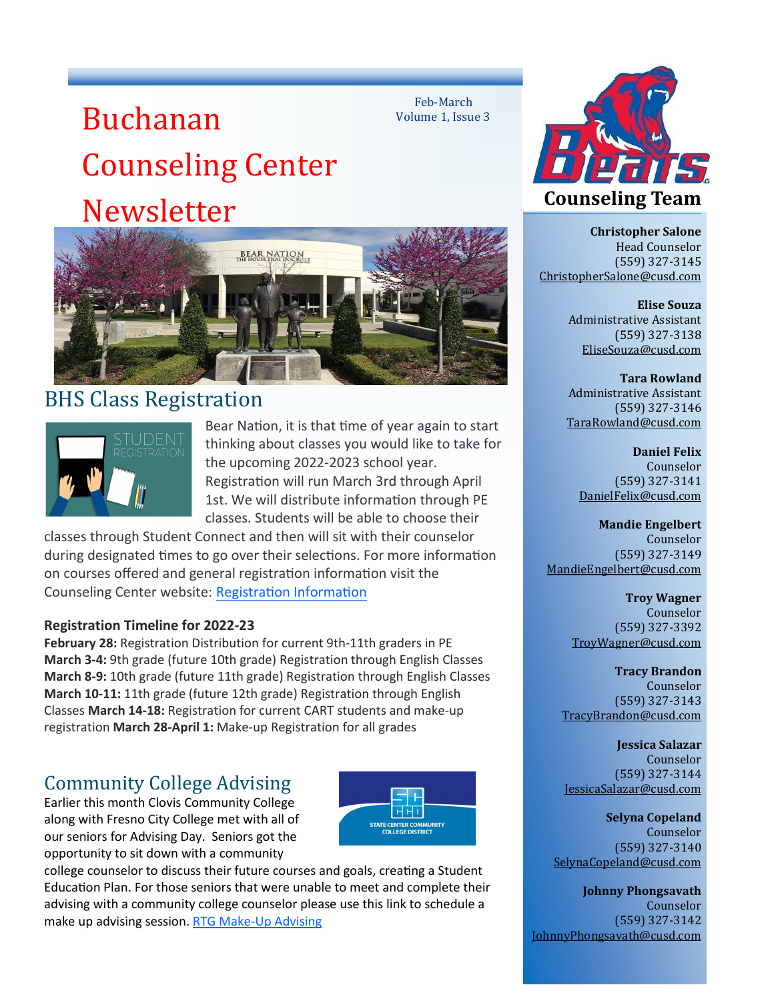# Buchanan Counseling Center Newsletter



# BHS Class Registration



Bear Nation, it is that time of year again to start thinking about classes you would like to take for the upcoming 2022-2023 school year. Registration will run March 3rd through April 1st. We will distribute information through PE classes. Students will be able to choose their

Feb-March Volume 1, Issue 3

classes through Student Connect and then will sit with their counselor during designated times to go over their selections. For more information on courses offered and general registration information visit the Counseling Center website: [Registration Information](https://bhs.cusd.com/RegistrationInformation.aspx)

#### **[Re](https://bhs.cusd.com/RegistrationInformation.aspx)gistration Timeline for 2022-23**

**February 28:** Registration Distribution for current 9th-11th graders in PE **March 3-4:** 9th grade (future 10th grade) Registration through English Classes **March 8-9:** 10th grade (future 11th grade) Registration through English Classes **March 10-11:** 11th grade (future 12th grade) Registration through English Classes **March 14-18:** Registration for current CART students and make-up registration **March 28-April 1:** Make-up Registration for all grades

## Community College Advising

Earlier this month Clovis Community College along with Fresno City College met with all of our seniors for Advising Day. Seniors got the opportunity to sit down with a community



college counselor to discuss their future courses and goals, creating a Student Education Plan. For those seniors that were unable to meet and complete their advising with a community college counselor please use this link to schedule a make up advising session. RTG Make-[Up Advising](https://www.scccd.edu/rtgmakeup)



**Christopher Salone** Head Counselor (559) 327-3145 [ChristopherSalone@cusd.com](mailto:ChristopherSalone@cusd.com)

> **Elise Souza** Administrative Assistant (559) 327-3138 [EliseSouza@cusd.com](mailto:EliseSouza@cusd.com)

**Tara Rowland** Administrative Assistant (559) 327-3146 [TaraRowland@cusd.com](mailto:TaraRowland@cusd.com)

> **Daniel Felix** Counselor (559) 327-3141 [DanielFelix@cusd.com](mailto:DanielFelix@cusd.com)

**Mandie Engelbert** Counselor (559) 327-3149 [MandieEngelbert@cusd.com](mailto:MandieEngelbert@cusd.com)

> **Troy Wagner** Counselor (559) 327-3392 [TroyWagner@cusd.com](mailto:TroyWagner@cusd.com)

**Tracy Brandon** Counselor (559) 327-3143 [TracyBrandon@cusd.com](mailto:TracyBrandon@cusd.com)

**Jessica Salazar** Counselor (559) 327-3144 [JessicaSalazar@cusd.com](mailto:JessicaSalazar@cusd.com)

**Selyna Copeland** Counselor (559) 327-3140 [SelynaCopeland@cusd.com](mailto:SelynaCopeland@cusd.com)

**Johnny Phongsavath** Counselor (559) 327-3142 [JohnnyPhongsavath@cusd.com](mailto:JohnnyPhongsavath@cusd.com)